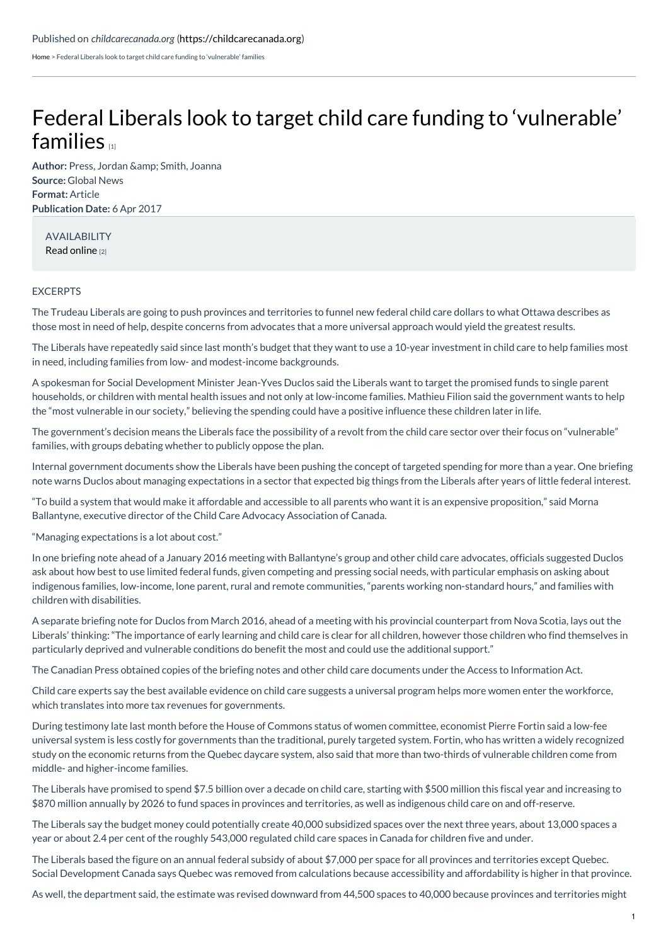[Home](https://childcarecanada.org/) > Federal Liberals look to target child care funding to 'vulnerable' families

## Federal Liberals look to target child care funding to ['vulnerable'](https://childcarecanada.org/documents/child-care-news/17/05/federal-liberals-look-target-child-care-funding-%25E2%2580%2598vulnerable%25E2%2580%2599) families **11**

Author: Press, Jordan & amp; Smith, Joanna **Source:** Global News **Format:** Article **Publication Date:** 6 Apr 2017

AVAILABILITY Read [online](https://globalnews.ca/news/3363229/liberals-child-care-funding/) [2]

## **EXCERPTS**

The Trudeau Liberals are going to push provinces and territories to funnel new federal child care dollars to what Ottawa describes as those most in need of help, despite concerns from advocates that a more universal approach would yield the greatest results.

The Liberals have repeatedly said since last month's budget that they want to use a 10-year investment in child care to help families most in need, including families from low- and modest-income backgrounds.

A spokesman for Social Development Minister Jean-Yves Duclos said the Liberals want to target the promised funds to single parent households, or children with mental health issues and not only at low-income families. Mathieu Filion said the government wants to help the "most vulnerable in our society," believing the spending could have a positive influence these children later in life.

The government's decision means the Liberals face the possibility of a revolt from the child care sector over their focus on "vulnerable" families, with groups debating whether to publicly oppose the plan.

Internal government documents show the Liberals have been pushing the concept of targeted spending for more than a year. One briefing note warns Duclos about managing expectations in a sector that expected big things from the Liberals after years of little federal interest.

"To build a system that would make it affordable and accessible to all parents who want it is an expensive proposition," said Morna Ballantyne, executive director of the Child Care Advocacy Association of Canada.

"Managing expectations is a lot about cost."

In one briefing note ahead of a January 2016 meeting with Ballantyne's group and other child care advocates, officials suggested Duclos ask about how best to use limited federal funds, given competing and pressing social needs, with particular emphasis on asking about indigenous families, low-income, lone parent, rural and remote communities, "parents working non-standard hours," and families with children with disabilities.

A separate briefing note for Duclos from March 2016, ahead of a meeting with his provincial counterpart from Nova Scotia, lays out the Liberals' thinking: "The importance of early learning and child care is clear for all children, however those children who find themselves in particularly deprived and vulnerable conditions do benefit the most and could use the additional support."

The Canadian Press obtained copies of the briefing notes and other child care documents under the Access to Information Act.

Child care experts say the best available evidence on child care suggests a universal program helps more women enter the workforce, which translates into more tax revenues for governments.

During testimony late last month before the House of Commons status of women committee, economist Pierre Fortin said a low-fee universal system is less costly for governments than the traditional, purely targeted system. Fortin, who has written a widely recognized study on the economic returns from the Quebec daycare system, also said that more than two-thirds of vulnerable children come from middle- and higher-income families.

The Liberals have promised to spend \$7.5 billion over a decade on child care, starting with \$500 million this fiscal year and increasing to \$870 million annually by 2026 to fund spaces in provinces and territories, as well as indigenous child care on and off-reserve.

The Liberals say the budget money could potentially create 40,000 subsidized spaces over the next three years, about 13,000 spaces a year or about 2.4 per cent of the roughly 543,000 regulated child care spaces in Canada for children five and under.

The Liberals based the figure on an annual federal subsidy of about \$7,000 per space for all provinces and territories except Quebec. Social Development Canada says Quebec was removed from calculations because accessibility and affordability is higher in that province.

As well, the department said, the estimate was revised downward from 44,500 spaces to 40,000 because provinces and territories might